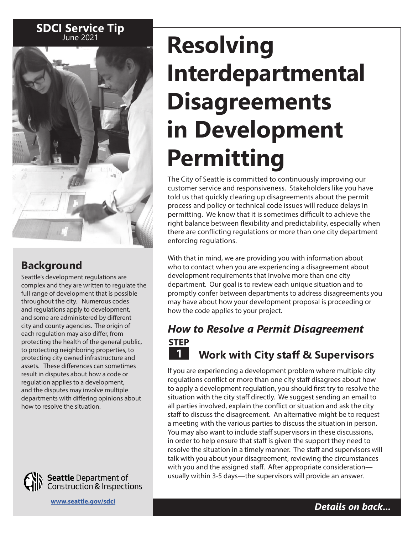# **SDCI Service Tip**



# **Background**

Seattle's development regulations are complex and they are written to regulate the full range of development that is possible throughout the city. Numerous codes and regulations apply to development, and some are administered by different city and county agencies. The origin of each regulation may also differ, from protecting the health of the general public, to protecting neighboring properties, to protecting city owned infrastructure and assets. These differences can sometimes result in disputes about how a code or regulation applies to a development, and the disputes may involve multiple departments with differing opinions about how to resolve the situation.



**Seattle** Department of<br>Construction & Inspections

**[www.seattle.gov/sdci](http://www.seattle.gov/sdci)**

# **Resolving Interdepartmental Disagreements in Development Permitting**

The City of Seattle is committed to continuously improving our customer service and responsiveness. Stakeholders like you have told us that quickly clearing up disagreements about the permit process and policy or technical code issues will reduce delays in permitting. We know that it is sometimes difficult to achieve the right balance between flexibility and predictability, especially when there are conflicting regulations or more than one city department enforcing regulations.

With that in mind, we are providing you with information about who to contact when you are experiencing a disagreement about development requirements that involve more than one city department. Our goal is to review each unique situation and to promptly confer between departments to address disagreements you may have about how your development proposal is proceeding or how the code applies to your project.

# **1 STEP** *How to Resolve a Permit Disagreement* **Work with City staff & Supervisors**

If you are experiencing a development problem where multiple city regulations conflict or more than one city staff disagrees about how to apply a development regulation, you should first try to resolve the situation with the city staff directly. We suggest sending an email to all parties involved, explain the conflict or situation and ask the city staff to discuss the disagreement. An alternative might be to request a meeting with the various parties to discuss the situation in person. You may also want to include staff supervisors in these discussions, in order to help ensure that staff is given the support they need to resolve the situation in a timely manner. The staff and supervisors will talk with you about your disagreement, reviewing the circumstances with you and the assigned staff. After appropriate consideration usually within 3-5 days—the supervisors will provide an answer.